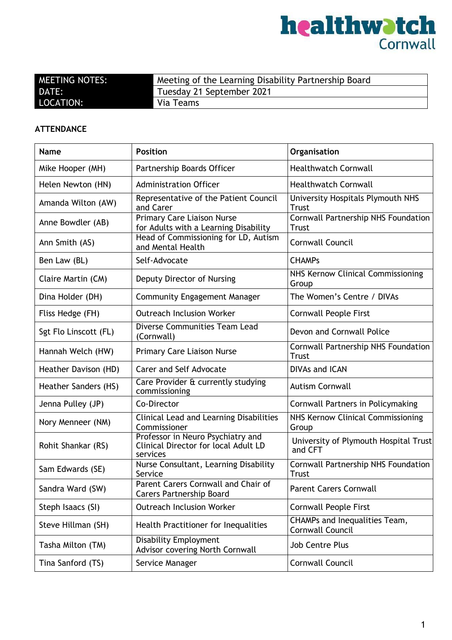

| <b>MEETING NOTES:</b> | Meeting of the Learning Disability Partnership Board |
|-----------------------|------------------------------------------------------|
| DATE:                 | Tuesday 21 September 2021                            |
| LOCATION:             | Via Teams                                            |

#### **ATTENDANCE**

| <b>Name</b>           | <b>Position</b>                                                                       | Organisation                                                    |
|-----------------------|---------------------------------------------------------------------------------------|-----------------------------------------------------------------|
| Mike Hooper (MH)      | Partnership Boards Officer                                                            | <b>Healthwatch Cornwall</b>                                     |
| Helen Newton (HN)     | <b>Administration Officer</b>                                                         | <b>Healthwatch Cornwall</b>                                     |
| Amanda Wilton (AW)    | Representative of the Patient Council<br>and Carer                                    | University Hospitals Plymouth NHS<br><b>Trust</b>               |
| Anne Bowdler (AB)     | <b>Primary Care Liaison Nurse</b><br>for Adults with a Learning Disability            | Cornwall Partnership NHS Foundation<br><b>Trust</b>             |
| Ann Smith (AS)        | Head of Commissioning for LD, Autism<br>and Mental Health                             | Cornwall Council                                                |
| Ben Law (BL)          | Self-Advocate                                                                         | <b>CHAMPs</b>                                                   |
| Claire Martin (CM)    | Deputy Director of Nursing                                                            | NHS Kernow Clinical Commissioning<br>Group                      |
| Dina Holder (DH)      | <b>Community Engagement Manager</b>                                                   | The Women's Centre / DIVAs                                      |
| Fliss Hedge (FH)      | <b>Outreach Inclusion Worker</b>                                                      | <b>Cornwall People First</b>                                    |
| Sgt Flo Linscott (FL) | Diverse Communities Team Lead<br>(Cornwall)                                           | Devon and Cornwall Police                                       |
| Hannah Welch (HW)     | Primary Care Liaison Nurse                                                            | Cornwall Partnership NHS Foundation<br><b>Trust</b>             |
| Heather Davison (HD)  | Carer and Self Advocate                                                               | <b>DIVAs and ICAN</b>                                           |
| Heather Sanders (HS)  | Care Provider & currently studying<br>commissioning                                   | <b>Autism Cornwall</b>                                          |
| Jenna Pulley (JP)     | Co-Director                                                                           | Cornwall Partners in Policymaking                               |
| Nory Menneer (NM)     | <b>Clinical Lead and Learning Disabilities</b><br>Commissioner                        | NHS Kernow Clinical Commissioning<br>Group                      |
| Rohit Shankar (RS)    | Professor in Neuro Psychiatry and<br>Clinical Director for local Adult LD<br>services | University of Plymouth Hospital Trust<br>and CFT                |
| Sam Edwards (SE)      | Nurse Consultant, Learning Disability<br>Service                                      | Cornwall Partnership NHS Foundation<br><b>Trust</b>             |
| Sandra Ward (SW)      | Parent Carers Cornwall and Chair of<br><b>Carers Partnership Board</b>                | <b>Parent Carers Cornwall</b>                                   |
| Steph Isaacs (SI)     | <b>Outreach Inclusion Worker</b>                                                      | <b>Cornwall People First</b>                                    |
| Steve Hillman (SH)    | Health Practitioner for Inequalities                                                  | <b>CHAMPs and Inequalities Team,</b><br><b>Cornwall Council</b> |
| Tasha Milton (TM)     | <b>Disability Employment</b><br>Advisor covering North Cornwall                       | <b>Job Centre Plus</b>                                          |
| Tina Sanford (TS)     | Service Manager                                                                       | Cornwall Council                                                |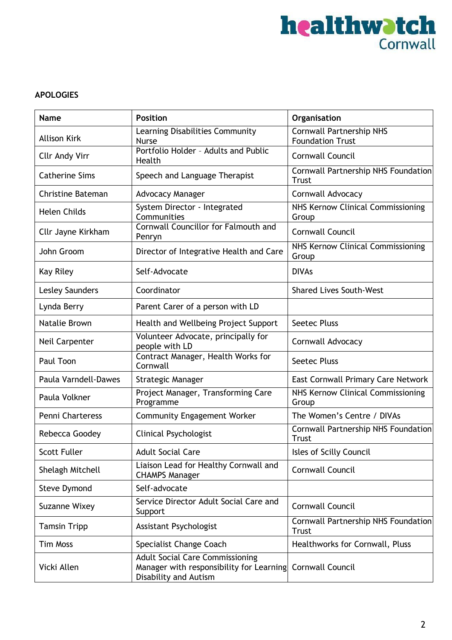

#### **APOLOGIES**

| <b>Name</b>              | <b>Position</b>                                                                                             | Organisation                                               |
|--------------------------|-------------------------------------------------------------------------------------------------------------|------------------------------------------------------------|
| <b>Allison Kirk</b>      | Learning Disabilities Community<br><b>Nurse</b>                                                             | <b>Cornwall Partnership NHS</b><br><b>Foundation Trust</b> |
| <b>Cllr Andy Virr</b>    | Portfolio Holder - Adults and Public<br>Health                                                              | Cornwall Council                                           |
| <b>Catherine Sims</b>    | Speech and Language Therapist                                                                               | Cornwall Partnership NHS Foundation<br><b>Trust</b>        |
| <b>Christine Bateman</b> | <b>Advocacy Manager</b>                                                                                     | Cornwall Advocacy                                          |
| <b>Helen Childs</b>      | System Director - Integrated<br>Communities                                                                 | NHS Kernow Clinical Commissioning<br>Group                 |
| Cllr Jayne Kirkham       | Cornwall Councillor for Falmouth and<br>Penryn                                                              | <b>Cornwall Council</b>                                    |
| John Groom               | Director of Integrative Health and Care                                                                     | NHS Kernow Clinical Commissioning<br>Group                 |
| Kay Riley                | Self-Advocate                                                                                               | <b>DIVAs</b>                                               |
| <b>Lesley Saunders</b>   | Coordinator                                                                                                 | <b>Shared Lives South-West</b>                             |
| Lynda Berry              | Parent Carer of a person with LD                                                                            |                                                            |
| Natalie Brown            | Health and Wellbeing Project Support                                                                        | <b>Seetec Pluss</b>                                        |
| Neil Carpenter           | Volunteer Advocate, principally for<br>people with LD                                                       | Cornwall Advocacy                                          |
| Paul Toon                | Contract Manager, Health Works for<br>Cornwall                                                              | <b>Seetec Pluss</b>                                        |
| Paula Varndell-Dawes     | <b>Strategic Manager</b>                                                                                    | East Cornwall Primary Care Network                         |
| Paula Volkner            | Project Manager, Transforming Care<br>Programme                                                             | NHS Kernow Clinical Commissioning<br>Group                 |
| Penni Charteress         | <b>Community Engagement Worker</b>                                                                          | The Women's Centre / DIVAs                                 |
| Rebecca Goodey           | <b>Clinical Psychologist</b>                                                                                | Cornwall Partnership NHS Foundation<br>Trust               |
| Scott Fuller             | <b>Adult Social Care</b>                                                                                    | Isles of Scilly Council                                    |
| Shelagh Mitchell         | Liaison Lead for Healthy Cornwall and<br><b>CHAMPS Manager</b>                                              | Cornwall Council                                           |
| <b>Steve Dymond</b>      | Self-advocate                                                                                               |                                                            |
| Suzanne Wixey            | Service Director Adult Social Care and<br>Support                                                           | <b>Cornwall Council</b>                                    |
| <b>Tamsin Tripp</b>      | Assistant Psychologist                                                                                      | Cornwall Partnership NHS Foundation<br><b>Trust</b>        |
| <b>Tim Moss</b>          | Specialist Change Coach                                                                                     | Healthworks for Cornwall, Pluss                            |
| Vicki Allen              | <b>Adult Social Care Commissioning</b><br>Manager with responsibility for Learning<br>Disability and Autism | Cornwall Council                                           |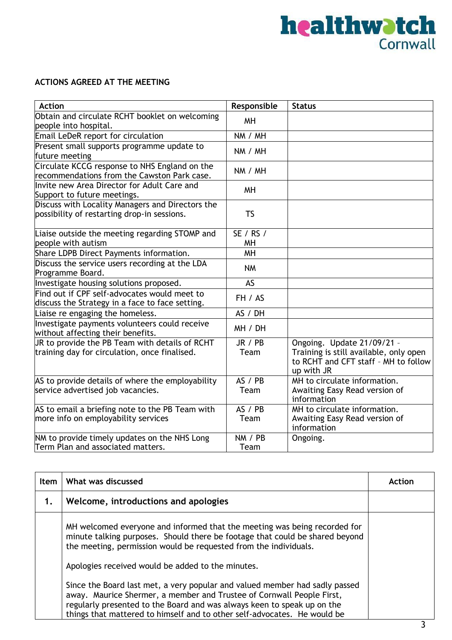#### **ACTIONS AGREED AT THE MEETING**

| <b>Action</b>                                                                                   | Responsible     | <b>Status</b>                                                                                                              |
|-------------------------------------------------------------------------------------------------|-----------------|----------------------------------------------------------------------------------------------------------------------------|
| Obtain and circulate RCHT booklet on welcoming<br>people into hospital.                         | MH              |                                                                                                                            |
| Email LeDeR report for circulation                                                              | NM / MH         |                                                                                                                            |
| Present small supports programme update to<br>future meeting                                    | NM / MH         |                                                                                                                            |
| Circulate KCCG response to NHS England on the<br>recommendations from the Cawston Park case.    | NM / MH         |                                                                                                                            |
| Invite new Area Director for Adult Care and<br>Support to future meetings.                      | <b>MH</b>       |                                                                                                                            |
| Discuss with Locality Managers and Directors the<br>possibility of restarting drop-in sessions. | <b>TS</b>       |                                                                                                                            |
| Liaise outside the meeting regarding STOMP and<br>people with autism                            | SE / RS /<br>MH |                                                                                                                            |
| Share LDPB Direct Payments information.                                                         | <b>MH</b>       |                                                                                                                            |
| Discuss the service users recording at the LDA<br>Programme Board.                              | <b>NM</b>       |                                                                                                                            |
| Investigate housing solutions proposed.                                                         | AS              |                                                                                                                            |
| Find out if CPF self-advocates would meet to<br>discuss the Strategy in a face to face setting. | FH / AS         |                                                                                                                            |
| Liaise re engaging the homeless.                                                                | AS / DH         |                                                                                                                            |
| Investigate payments volunteers could receive<br>without affecting their benefits.              | MH / DH         |                                                                                                                            |
| JR to provide the PB Team with details of RCHT<br>training day for circulation, once finalised. | JR / PB<br>Team | Ongoing. Update 21/09/21 -<br>Training is still available, only open<br>to RCHT and CFT staff - MH to follow<br>up with JR |
| AS to provide details of where the employability<br>service advertised job vacancies.           | AS / PB<br>Team | MH to circulate information.<br>Awaiting Easy Read version of<br>information                                               |
| AS to email a briefing note to the PB Team with<br>more info on employability services          | AS / PB<br>Team | MH to circulate information.<br>Awaiting Easy Read version of<br>information                                               |
| NM to provide timely updates on the NHS Long<br>Term Plan and associated matters.               | NM / PB<br>Team | Ongoing.                                                                                                                   |

| <b>Item</b> | What was discussed                                                                                                                                                                                                                                                                                          | Action |
|-------------|-------------------------------------------------------------------------------------------------------------------------------------------------------------------------------------------------------------------------------------------------------------------------------------------------------------|--------|
| 1.          | Welcome, introductions and apologies                                                                                                                                                                                                                                                                        |        |
|             | MH welcomed everyone and informed that the meeting was being recorded for<br>minute talking purposes. Should there be footage that could be shared beyond<br>the meeting, permission would be requested from the individuals.                                                                               |        |
|             | Apologies received would be added to the minutes.                                                                                                                                                                                                                                                           |        |
|             | Since the Board last met, a very popular and valued member had sadly passed<br>away. Maurice Shermer, a member and Trustee of Cornwall People First,<br>regularly presented to the Board and was always keen to speak up on the<br>things that mattered to himself and to other self-advocates. He would be |        |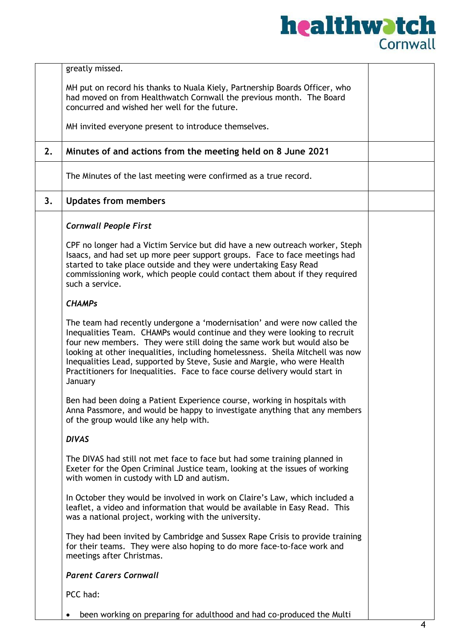|    | greatly missed.                                                                                                                                                                                                                                                                                                                                                                                                                                                                           |  |  |
|----|-------------------------------------------------------------------------------------------------------------------------------------------------------------------------------------------------------------------------------------------------------------------------------------------------------------------------------------------------------------------------------------------------------------------------------------------------------------------------------------------|--|--|
|    | MH put on record his thanks to Nuala Kiely, Partnership Boards Officer, who<br>had moved on from Healthwatch Cornwall the previous month. The Board<br>concurred and wished her well for the future.                                                                                                                                                                                                                                                                                      |  |  |
|    | MH invited everyone present to introduce themselves.                                                                                                                                                                                                                                                                                                                                                                                                                                      |  |  |
| 2. | Minutes of and actions from the meeting held on 8 June 2021                                                                                                                                                                                                                                                                                                                                                                                                                               |  |  |
|    | The Minutes of the last meeting were confirmed as a true record.                                                                                                                                                                                                                                                                                                                                                                                                                          |  |  |
| 3. | <b>Updates from members</b>                                                                                                                                                                                                                                                                                                                                                                                                                                                               |  |  |
|    | <b>Cornwall People First</b>                                                                                                                                                                                                                                                                                                                                                                                                                                                              |  |  |
|    | CPF no longer had a Victim Service but did have a new outreach worker, Steph<br>Isaacs, and had set up more peer support groups. Face to face meetings had<br>started to take place outside and they were undertaking Easy Read<br>commissioning work, which people could contact them about if they required<br>such a service.                                                                                                                                                          |  |  |
|    | <b>CHAMPs</b>                                                                                                                                                                                                                                                                                                                                                                                                                                                                             |  |  |
|    | The team had recently undergone a 'modernisation' and were now called the<br>Inequalities Team. CHAMPs would continue and they were looking to recruit<br>four new members. They were still doing the same work but would also be<br>looking at other inequalities, including homelessness. Sheila Mitchell was now<br>Inequalities Lead, supported by Steve, Susie and Margie, who were Health<br>Practitioners for Inequalities. Face to face course delivery would start in<br>January |  |  |
|    | Ben had been doing a Patient Experience course, working in hospitals with<br>Anna Passmore, and would be happy to investigate anything that any members<br>of the group would like any help with.                                                                                                                                                                                                                                                                                         |  |  |
|    | <b>DIVAS</b>                                                                                                                                                                                                                                                                                                                                                                                                                                                                              |  |  |
|    | The DIVAS had still not met face to face but had some training planned in<br>Exeter for the Open Criminal Justice team, looking at the issues of working<br>with women in custody with LD and autism.                                                                                                                                                                                                                                                                                     |  |  |
|    | In October they would be involved in work on Claire's Law, which included a<br>leaflet, a video and information that would be available in Easy Read. This<br>was a national project, working with the university.                                                                                                                                                                                                                                                                        |  |  |
|    | They had been invited by Cambridge and Sussex Rape Crisis to provide training<br>for their teams. They were also hoping to do more face-to-face work and<br>meetings after Christmas.                                                                                                                                                                                                                                                                                                     |  |  |
|    | <b>Parent Carers Cornwall</b>                                                                                                                                                                                                                                                                                                                                                                                                                                                             |  |  |
|    | PCC had:                                                                                                                                                                                                                                                                                                                                                                                                                                                                                  |  |  |
|    | been working on preparing for adulthood and had co-produced the Multi                                                                                                                                                                                                                                                                                                                                                                                                                     |  |  |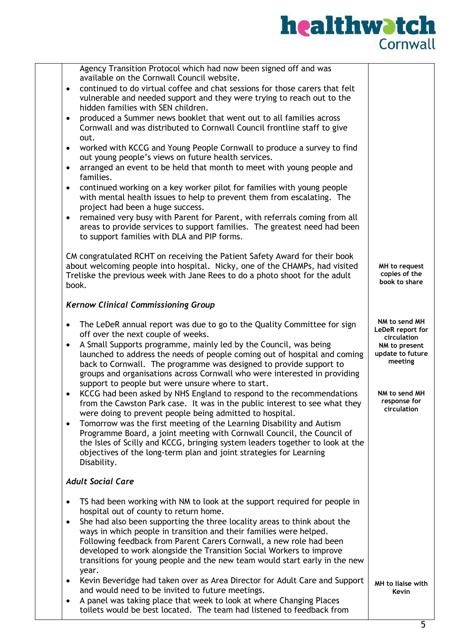| Agency Transition Protocol which had now been signed off and was<br>available on the Cornwall Council website.<br>continued to do virtual coffee and chat sessions for those carers that felt<br>$\bullet$<br>vulnerable and needed support and they were trying to reach out to the<br>hidden families with SEN children.<br>produced a Summer news booklet that went out to all families across<br>$\bullet$<br>Cornwall and was distributed to Cornwall Council frontline staff to give<br>out.<br>worked with KCCG and Young People Cornwall to produce a survey to find<br>$\bullet$<br>out young people's views on future health services.<br>arranged an event to be held that month to meet with young people and<br>$\bullet$<br>families.<br>continued working on a key worker pilot for families with young people<br>$\bullet$<br>with mental health issues to help to prevent them from escalating. The<br>project had been a huge success.<br>remained very busy with Parent for Parent, with referrals coming from all<br>$\bullet$<br>areas to provide services to support families. The greatest need had been |                                                                                                                                                  |
|---------------------------------------------------------------------------------------------------------------------------------------------------------------------------------------------------------------------------------------------------------------------------------------------------------------------------------------------------------------------------------------------------------------------------------------------------------------------------------------------------------------------------------------------------------------------------------------------------------------------------------------------------------------------------------------------------------------------------------------------------------------------------------------------------------------------------------------------------------------------------------------------------------------------------------------------------------------------------------------------------------------------------------------------------------------------------------------------------------------------------------|--------------------------------------------------------------------------------------------------------------------------------------------------|
| to support families with DLA and PIP forms.                                                                                                                                                                                                                                                                                                                                                                                                                                                                                                                                                                                                                                                                                                                                                                                                                                                                                                                                                                                                                                                                                     |                                                                                                                                                  |
| CM congratulated RCHT on receiving the Patient Safety Award for their book<br>about welcoming people into hospital. Nicky, one of the CHAMPs, had visited<br>Treliske the previous week with Jane Rees to do a photo shoot for the adult<br>book.                                                                                                                                                                                                                                                                                                                                                                                                                                                                                                                                                                                                                                                                                                                                                                                                                                                                               | MH to request<br>copies of the<br>book to share                                                                                                  |
| <b>Kernow Clinical Commissioning Group</b>                                                                                                                                                                                                                                                                                                                                                                                                                                                                                                                                                                                                                                                                                                                                                                                                                                                                                                                                                                                                                                                                                      |                                                                                                                                                  |
| The LeDeR annual report was due to go to the Quality Committee for sign<br>$\bullet$<br>off over the next couple of weeks.<br>A Small Supports programme, mainly led by the Council, was being<br>$\bullet$<br>launched to address the needs of people coming out of hospital and coming<br>back to Cornwall. The programme was designed to provide support to<br>groups and organisations across Cornwall who were interested in providing<br>support to people but were unsure where to start.<br>KCCG had been asked by NHS England to respond to the recommendations<br>$\bullet$<br>from the Cawston Park case. It was in the public interest to see what they<br>were doing to prevent people being admitted to hospital.<br>Tomorrow was the first meeting of the Learning Disability and Autism<br>$\bullet$<br>Programme Board, a joint meeting with Cornwall Council, the Council of<br>the Isles of Scilly and KCCG, bringing system leaders together to look at the<br>objectives of the long-term plan and joint strategies for Learning<br>Disability.                                                            | NM to send MH<br>LeDeR report for<br>circulation<br>NM to present<br>update to future<br>meeting<br>NM to send MH<br>response for<br>circulation |
| <b>Adult Social Care</b>                                                                                                                                                                                                                                                                                                                                                                                                                                                                                                                                                                                                                                                                                                                                                                                                                                                                                                                                                                                                                                                                                                        |                                                                                                                                                  |
| TS had been working with NM to look at the support required for people in<br>$\bullet$<br>hospital out of county to return home.<br>She had also been supporting the three locality areas to think about the<br>$\bullet$<br>ways in which people in transition and their families were helped.<br>Following feedback from Parent Carers Cornwall, a new role had been<br>developed to work alongside the Transition Social Workers to improve<br>transitions for young people and the new team would start early in the new<br>year.                                                                                                                                                                                                                                                                                                                                                                                                                                                                                                                                                                                           |                                                                                                                                                  |
| Kevin Beveridge had taken over as Area Director for Adult Care and Support<br>$\bullet$<br>and would need to be invited to future meetings.<br>A panel was taking place that week to look at where Changing Places<br>٠<br>toilets would be best located. The team had listened to feedback from                                                                                                                                                                                                                                                                                                                                                                                                                                                                                                                                                                                                                                                                                                                                                                                                                                | MH to liaise with<br>Kevin                                                                                                                       |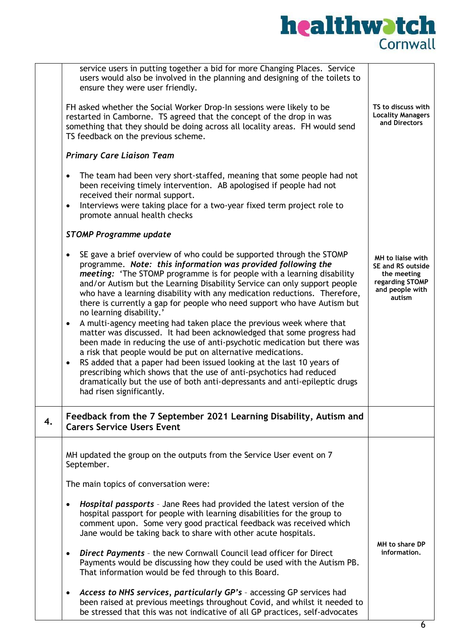|    | service users in putting together a bid for more Changing Places. Service<br>users would also be involved in the planning and designing of the toilets to<br>ensure they were user friendly.<br>FH asked whether the Social Worker Drop-In sessions were likely to be<br>restarted in Camborne. TS agreed that the concept of the drop in was<br>something that they should be doing across all locality areas. FH would send<br>TS feedback on the previous scheme.<br><b>Primary Care Liaison Team</b><br>The team had been very short-staffed, meaning that some people had not<br>$\bullet$<br>been receiving timely intervention. AB apologised if people had not<br>received their normal support.<br>Interviews were taking place for a two-year fixed term project role to<br>$\bullet$<br>promote annual health checks<br><b>STOMP Programme update</b><br>SE gave a brief overview of who could be supported through the STOMP<br>$\bullet$<br>programme. Note: this information was provided following the<br>meeting: 'The STOMP programme is for people with a learning disability<br>and/or Autism but the Learning Disability Service can only support people<br>who have a learning disability with any medication reductions. Therefore,<br>there is currently a gap for people who need support who have Autism but<br>no learning disability.' | TS to discuss with<br><b>Locality Managers</b><br>and Directors<br>MH to liaise with<br>SE and RS outside<br>the meeting<br>regarding STOMP<br>and people with<br>autism |
|----|-------------------------------------------------------------------------------------------------------------------------------------------------------------------------------------------------------------------------------------------------------------------------------------------------------------------------------------------------------------------------------------------------------------------------------------------------------------------------------------------------------------------------------------------------------------------------------------------------------------------------------------------------------------------------------------------------------------------------------------------------------------------------------------------------------------------------------------------------------------------------------------------------------------------------------------------------------------------------------------------------------------------------------------------------------------------------------------------------------------------------------------------------------------------------------------------------------------------------------------------------------------------------------------------------------------------------------------------------------------------|--------------------------------------------------------------------------------------------------------------------------------------------------------------------------|
|    | A multi-agency meeting had taken place the previous week where that<br>$\bullet$<br>matter was discussed. It had been acknowledged that some progress had<br>been made in reducing the use of anti-psychotic medication but there was<br>a risk that people would be put on alternative medications.<br>RS added that a paper had been issued looking at the last 10 years of<br>$\bullet$<br>prescribing which shows that the use of anti-psychotics had reduced<br>dramatically but the use of both anti-depressants and anti-epileptic drugs<br>had risen significantly.                                                                                                                                                                                                                                                                                                                                                                                                                                                                                                                                                                                                                                                                                                                                                                                       |                                                                                                                                                                          |
| 4. | Feedback from the 7 September 2021 Learning Disability, Autism and<br><b>Carers Service Users Event</b>                                                                                                                                                                                                                                                                                                                                                                                                                                                                                                                                                                                                                                                                                                                                                                                                                                                                                                                                                                                                                                                                                                                                                                                                                                                           |                                                                                                                                                                          |
|    | MH updated the group on the outputs from the Service User event on 7<br>September.                                                                                                                                                                                                                                                                                                                                                                                                                                                                                                                                                                                                                                                                                                                                                                                                                                                                                                                                                                                                                                                                                                                                                                                                                                                                                |                                                                                                                                                                          |
|    | The main topics of conversation were:                                                                                                                                                                                                                                                                                                                                                                                                                                                                                                                                                                                                                                                                                                                                                                                                                                                                                                                                                                                                                                                                                                                                                                                                                                                                                                                             |                                                                                                                                                                          |
|    | Hospital passports - Jane Rees had provided the latest version of the<br>$\bullet$<br>hospital passport for people with learning disabilities for the group to<br>comment upon. Some very good practical feedback was received which<br>Jane would be taking back to share with other acute hospitals.                                                                                                                                                                                                                                                                                                                                                                                                                                                                                                                                                                                                                                                                                                                                                                                                                                                                                                                                                                                                                                                            | MH to share DP                                                                                                                                                           |
|    | <b>Direct Payments</b> - the new Cornwall Council lead officer for Direct<br>$\bullet$<br>Payments would be discussing how they could be used with the Autism PB.<br>That information would be fed through to this Board.                                                                                                                                                                                                                                                                                                                                                                                                                                                                                                                                                                                                                                                                                                                                                                                                                                                                                                                                                                                                                                                                                                                                         | information.                                                                                                                                                             |
|    | Access to NHS services, particularly GP's - accessing GP services had<br>$\bullet$<br>been raised at previous meetings throughout Covid, and whilst it needed to<br>be stressed that this was not indicative of all GP practices, self-advocates                                                                                                                                                                                                                                                                                                                                                                                                                                                                                                                                                                                                                                                                                                                                                                                                                                                                                                                                                                                                                                                                                                                  |                                                                                                                                                                          |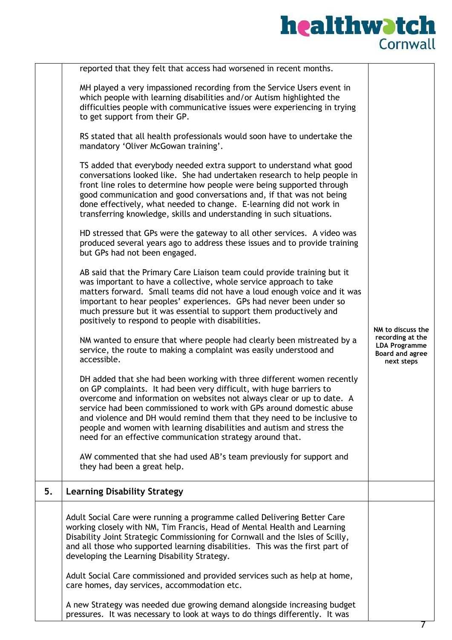|    | reported that they felt that access had worsened in recent months.                                                                                                                                                                                                                                                                                                                                                                                                                                               |                                                                           |
|----|------------------------------------------------------------------------------------------------------------------------------------------------------------------------------------------------------------------------------------------------------------------------------------------------------------------------------------------------------------------------------------------------------------------------------------------------------------------------------------------------------------------|---------------------------------------------------------------------------|
|    | MH played a very impassioned recording from the Service Users event in<br>which people with learning disabilities and/or Autism highlighted the<br>difficulties people with communicative issues were experiencing in trying<br>to get support from their GP.                                                                                                                                                                                                                                                    |                                                                           |
|    | RS stated that all health professionals would soon have to undertake the<br>mandatory 'Oliver McGowan training'.                                                                                                                                                                                                                                                                                                                                                                                                 |                                                                           |
|    | TS added that everybody needed extra support to understand what good<br>conversations looked like. She had undertaken research to help people in<br>front line roles to determine how people were being supported through<br>good communication and good conversations and, if that was not being<br>done effectively, what needed to change. E-learning did not work in<br>transferring knowledge, skills and understanding in such situations.                                                                 |                                                                           |
|    | HD stressed that GPs were the gateway to all other services. A video was<br>produced several years ago to address these issues and to provide training<br>but GPs had not been engaged.                                                                                                                                                                                                                                                                                                                          |                                                                           |
|    | AB said that the Primary Care Liaison team could provide training but it<br>was important to have a collective, whole service approach to take<br>matters forward. Small teams did not have a loud enough voice and it was<br>important to hear peoples' experiences. GPs had never been under so<br>much pressure but it was essential to support them productively and<br>positively to respond to people with disabilities.                                                                                   | NM to discuss the                                                         |
|    | NM wanted to ensure that where people had clearly been mistreated by a<br>service, the route to making a complaint was easily understood and<br>accessible.                                                                                                                                                                                                                                                                                                                                                      | recording at the<br><b>LDA Programme</b><br>Board and agree<br>next steps |
|    | DH added that she had been working with three different women recently<br>on GP complaints. It had been very difficult, with huge barriers to<br>overcome and information on websites not always clear or up to date. A<br>service had been commissioned to work with GPs around domestic abuse<br>and violence and DH would remind them that they need to be inclusive to<br>people and women with learning disabilities and autism and stress the<br>need for an effective communication strategy around that. |                                                                           |
|    | AW commented that she had used AB's team previously for support and<br>they had been a great help.                                                                                                                                                                                                                                                                                                                                                                                                               |                                                                           |
| 5. | <b>Learning Disability Strategy</b>                                                                                                                                                                                                                                                                                                                                                                                                                                                                              |                                                                           |
|    | Adult Social Care were running a programme called Delivering Better Care<br>working closely with NM, Tim Francis, Head of Mental Health and Learning<br>Disability Joint Strategic Commissioning for Cornwall and the Isles of Scilly,<br>and all those who supported learning disabilities. This was the first part of<br>developing the Learning Disability Strategy.                                                                                                                                          |                                                                           |
|    | Adult Social Care commissioned and provided services such as help at home,<br>care homes, day services, accommodation etc.                                                                                                                                                                                                                                                                                                                                                                                       |                                                                           |
|    | A new Strategy was needed due growing demand alongside increasing budget<br>pressures. It was necessary to look at ways to do things differently. It was                                                                                                                                                                                                                                                                                                                                                         |                                                                           |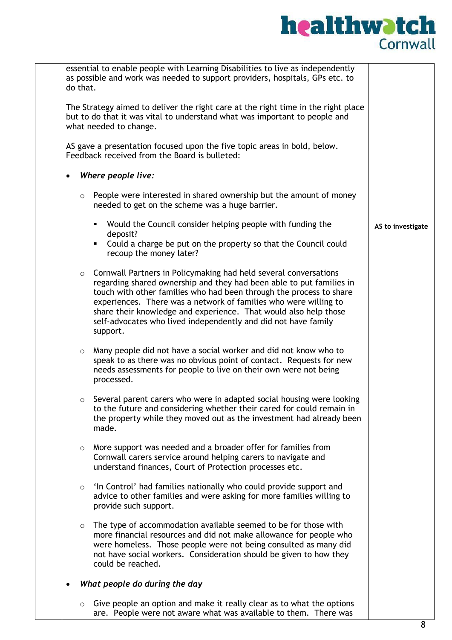|           | do that. | essential to enable people with Learning Disabilities to live as independently<br>as possible and work was needed to support providers, hospitals, GPs etc. to                                                                                                                                                                                                                                                                                |                   |
|-----------|----------|-----------------------------------------------------------------------------------------------------------------------------------------------------------------------------------------------------------------------------------------------------------------------------------------------------------------------------------------------------------------------------------------------------------------------------------------------|-------------------|
|           |          | The Strategy aimed to deliver the right care at the right time in the right place<br>but to do that it was vital to understand what was important to people and<br>what needed to change.                                                                                                                                                                                                                                                     |                   |
|           |          | AS gave a presentation focused upon the five topic areas in bold, below.<br>Feedback received from the Board is bulleted:                                                                                                                                                                                                                                                                                                                     |                   |
| $\bullet$ |          | Where people live:                                                                                                                                                                                                                                                                                                                                                                                                                            |                   |
|           | $\circ$  | People were interested in shared ownership but the amount of money<br>needed to get on the scheme was a huge barrier.                                                                                                                                                                                                                                                                                                                         |                   |
|           |          | Would the Council consider helping people with funding the<br>٠<br>deposit?                                                                                                                                                                                                                                                                                                                                                                   | AS to investigate |
|           |          | Could a charge be put on the property so that the Council could<br>٠<br>recoup the money later?                                                                                                                                                                                                                                                                                                                                               |                   |
|           |          | $\circ$ Cornwall Partners in Policymaking had held several conversations<br>regarding shared ownership and they had been able to put families in<br>touch with other families who had been through the process to share<br>experiences. There was a network of families who were willing to<br>share their knowledge and experience. That would also help those<br>self-advocates who lived independently and did not have family<br>support. |                   |
|           | $\circ$  | Many people did not have a social worker and did not know who to<br>speak to as there was no obvious point of contact. Requests for new<br>needs assessments for people to live on their own were not being<br>processed.                                                                                                                                                                                                                     |                   |
|           | $\circ$  | Several parent carers who were in adapted social housing were looking<br>to the future and considering whether their cared for could remain in<br>the property while they moved out as the investment had already been<br>made.                                                                                                                                                                                                               |                   |
|           | $\circ$  | More support was needed and a broader offer for families from<br>Cornwall carers service around helping carers to navigate and<br>understand finances, Court of Protection processes etc.                                                                                                                                                                                                                                                     |                   |
|           | $\circ$  | 'In Control' had families nationally who could provide support and<br>advice to other families and were asking for more families willing to<br>provide such support.                                                                                                                                                                                                                                                                          |                   |
|           | $\circ$  | The type of accommodation available seemed to be for those with<br>more financial resources and did not make allowance for people who<br>were homeless. Those people were not being consulted as many did<br>not have social workers. Consideration should be given to how they<br>could be reached.                                                                                                                                          |                   |
|           |          | What people do during the day                                                                                                                                                                                                                                                                                                                                                                                                                 |                   |
|           | $\circ$  | Give people an option and make it really clear as to what the options<br>are. People were not aware what was available to them. There was                                                                                                                                                                                                                                                                                                     |                   |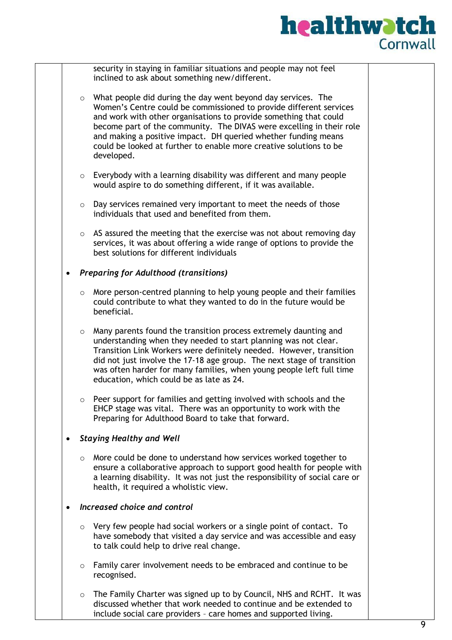

|             | security in staying in familiar situations and people may not feel<br>inclined to ask about something new/different.  |                                                                                                                                                                                                                                                                                                                                                                                                                                                                                                                                                                                                                                                                                                                                                                                                                                                                                                                                                                                                                                                                                                                                                                                                                                                                                                                                                                                                                                                                                                                                                                                                                                                                                                                                                                                                                                                                                                                                                                                                                                                                                                                                                                                                                                                                                                                                                                                                                                                    |
|-------------|-----------------------------------------------------------------------------------------------------------------------|----------------------------------------------------------------------------------------------------------------------------------------------------------------------------------------------------------------------------------------------------------------------------------------------------------------------------------------------------------------------------------------------------------------------------------------------------------------------------------------------------------------------------------------------------------------------------------------------------------------------------------------------------------------------------------------------------------------------------------------------------------------------------------------------------------------------------------------------------------------------------------------------------------------------------------------------------------------------------------------------------------------------------------------------------------------------------------------------------------------------------------------------------------------------------------------------------------------------------------------------------------------------------------------------------------------------------------------------------------------------------------------------------------------------------------------------------------------------------------------------------------------------------------------------------------------------------------------------------------------------------------------------------------------------------------------------------------------------------------------------------------------------------------------------------------------------------------------------------------------------------------------------------------------------------------------------------------------------------------------------------------------------------------------------------------------------------------------------------------------------------------------------------------------------------------------------------------------------------------------------------------------------------------------------------------------------------------------------------------------------------------------------------------------------------------------------------|
|             |                                                                                                                       |                                                                                                                                                                                                                                                                                                                                                                                                                                                                                                                                                                                                                                                                                                                                                                                                                                                                                                                                                                                                                                                                                                                                                                                                                                                                                                                                                                                                                                                                                                                                                                                                                                                                                                                                                                                                                                                                                                                                                                                                                                                                                                                                                                                                                                                                                                                                                                                                                                                    |
|             | What people did during the day went beyond day services. The                                                          |                                                                                                                                                                                                                                                                                                                                                                                                                                                                                                                                                                                                                                                                                                                                                                                                                                                                                                                                                                                                                                                                                                                                                                                                                                                                                                                                                                                                                                                                                                                                                                                                                                                                                                                                                                                                                                                                                                                                                                                                                                                                                                                                                                                                                                                                                                                                                                                                                                                    |
|             |                                                                                                                       |                                                                                                                                                                                                                                                                                                                                                                                                                                                                                                                                                                                                                                                                                                                                                                                                                                                                                                                                                                                                                                                                                                                                                                                                                                                                                                                                                                                                                                                                                                                                                                                                                                                                                                                                                                                                                                                                                                                                                                                                                                                                                                                                                                                                                                                                                                                                                                                                                                                    |
|             |                                                                                                                       |                                                                                                                                                                                                                                                                                                                                                                                                                                                                                                                                                                                                                                                                                                                                                                                                                                                                                                                                                                                                                                                                                                                                                                                                                                                                                                                                                                                                                                                                                                                                                                                                                                                                                                                                                                                                                                                                                                                                                                                                                                                                                                                                                                                                                                                                                                                                                                                                                                                    |
|             |                                                                                                                       |                                                                                                                                                                                                                                                                                                                                                                                                                                                                                                                                                                                                                                                                                                                                                                                                                                                                                                                                                                                                                                                                                                                                                                                                                                                                                                                                                                                                                                                                                                                                                                                                                                                                                                                                                                                                                                                                                                                                                                                                                                                                                                                                                                                                                                                                                                                                                                                                                                                    |
|             |                                                                                                                       |                                                                                                                                                                                                                                                                                                                                                                                                                                                                                                                                                                                                                                                                                                                                                                                                                                                                                                                                                                                                                                                                                                                                                                                                                                                                                                                                                                                                                                                                                                                                                                                                                                                                                                                                                                                                                                                                                                                                                                                                                                                                                                                                                                                                                                                                                                                                                                                                                                                    |
| developed.  |                                                                                                                       |                                                                                                                                                                                                                                                                                                                                                                                                                                                                                                                                                                                                                                                                                                                                                                                                                                                                                                                                                                                                                                                                                                                                                                                                                                                                                                                                                                                                                                                                                                                                                                                                                                                                                                                                                                                                                                                                                                                                                                                                                                                                                                                                                                                                                                                                                                                                                                                                                                                    |
|             |                                                                                                                       |                                                                                                                                                                                                                                                                                                                                                                                                                                                                                                                                                                                                                                                                                                                                                                                                                                                                                                                                                                                                                                                                                                                                                                                                                                                                                                                                                                                                                                                                                                                                                                                                                                                                                                                                                                                                                                                                                                                                                                                                                                                                                                                                                                                                                                                                                                                                                                                                                                                    |
|             |                                                                                                                       |                                                                                                                                                                                                                                                                                                                                                                                                                                                                                                                                                                                                                                                                                                                                                                                                                                                                                                                                                                                                                                                                                                                                                                                                                                                                                                                                                                                                                                                                                                                                                                                                                                                                                                                                                                                                                                                                                                                                                                                                                                                                                                                                                                                                                                                                                                                                                                                                                                                    |
|             |                                                                                                                       |                                                                                                                                                                                                                                                                                                                                                                                                                                                                                                                                                                                                                                                                                                                                                                                                                                                                                                                                                                                                                                                                                                                                                                                                                                                                                                                                                                                                                                                                                                                                                                                                                                                                                                                                                                                                                                                                                                                                                                                                                                                                                                                                                                                                                                                                                                                                                                                                                                                    |
|             |                                                                                                                       |                                                                                                                                                                                                                                                                                                                                                                                                                                                                                                                                                                                                                                                                                                                                                                                                                                                                                                                                                                                                                                                                                                                                                                                                                                                                                                                                                                                                                                                                                                                                                                                                                                                                                                                                                                                                                                                                                                                                                                                                                                                                                                                                                                                                                                                                                                                                                                                                                                                    |
|             |                                                                                                                       |                                                                                                                                                                                                                                                                                                                                                                                                                                                                                                                                                                                                                                                                                                                                                                                                                                                                                                                                                                                                                                                                                                                                                                                                                                                                                                                                                                                                                                                                                                                                                                                                                                                                                                                                                                                                                                                                                                                                                                                                                                                                                                                                                                                                                                                                                                                                                                                                                                                    |
|             |                                                                                                                       |                                                                                                                                                                                                                                                                                                                                                                                                                                                                                                                                                                                                                                                                                                                                                                                                                                                                                                                                                                                                                                                                                                                                                                                                                                                                                                                                                                                                                                                                                                                                                                                                                                                                                                                                                                                                                                                                                                                                                                                                                                                                                                                                                                                                                                                                                                                                                                                                                                                    |
|             |                                                                                                                       |                                                                                                                                                                                                                                                                                                                                                                                                                                                                                                                                                                                                                                                                                                                                                                                                                                                                                                                                                                                                                                                                                                                                                                                                                                                                                                                                                                                                                                                                                                                                                                                                                                                                                                                                                                                                                                                                                                                                                                                                                                                                                                                                                                                                                                                                                                                                                                                                                                                    |
|             |                                                                                                                       |                                                                                                                                                                                                                                                                                                                                                                                                                                                                                                                                                                                                                                                                                                                                                                                                                                                                                                                                                                                                                                                                                                                                                                                                                                                                                                                                                                                                                                                                                                                                                                                                                                                                                                                                                                                                                                                                                                                                                                                                                                                                                                                                                                                                                                                                                                                                                                                                                                                    |
| beneficial. |                                                                                                                       |                                                                                                                                                                                                                                                                                                                                                                                                                                                                                                                                                                                                                                                                                                                                                                                                                                                                                                                                                                                                                                                                                                                                                                                                                                                                                                                                                                                                                                                                                                                                                                                                                                                                                                                                                                                                                                                                                                                                                                                                                                                                                                                                                                                                                                                                                                                                                                                                                                                    |
|             |                                                                                                                       |                                                                                                                                                                                                                                                                                                                                                                                                                                                                                                                                                                                                                                                                                                                                                                                                                                                                                                                                                                                                                                                                                                                                                                                                                                                                                                                                                                                                                                                                                                                                                                                                                                                                                                                                                                                                                                                                                                                                                                                                                                                                                                                                                                                                                                                                                                                                                                                                                                                    |
|             |                                                                                                                       |                                                                                                                                                                                                                                                                                                                                                                                                                                                                                                                                                                                                                                                                                                                                                                                                                                                                                                                                                                                                                                                                                                                                                                                                                                                                                                                                                                                                                                                                                                                                                                                                                                                                                                                                                                                                                                                                                                                                                                                                                                                                                                                                                                                                                                                                                                                                                                                                                                                    |
|             |                                                                                                                       |                                                                                                                                                                                                                                                                                                                                                                                                                                                                                                                                                                                                                                                                                                                                                                                                                                                                                                                                                                                                                                                                                                                                                                                                                                                                                                                                                                                                                                                                                                                                                                                                                                                                                                                                                                                                                                                                                                                                                                                                                                                                                                                                                                                                                                                                                                                                                                                                                                                    |
|             |                                                                                                                       |                                                                                                                                                                                                                                                                                                                                                                                                                                                                                                                                                                                                                                                                                                                                                                                                                                                                                                                                                                                                                                                                                                                                                                                                                                                                                                                                                                                                                                                                                                                                                                                                                                                                                                                                                                                                                                                                                                                                                                                                                                                                                                                                                                                                                                                                                                                                                                                                                                                    |
|             |                                                                                                                       |                                                                                                                                                                                                                                                                                                                                                                                                                                                                                                                                                                                                                                                                                                                                                                                                                                                                                                                                                                                                                                                                                                                                                                                                                                                                                                                                                                                                                                                                                                                                                                                                                                                                                                                                                                                                                                                                                                                                                                                                                                                                                                                                                                                                                                                                                                                                                                                                                                                    |
|             |                                                                                                                       |                                                                                                                                                                                                                                                                                                                                                                                                                                                                                                                                                                                                                                                                                                                                                                                                                                                                                                                                                                                                                                                                                                                                                                                                                                                                                                                                                                                                                                                                                                                                                                                                                                                                                                                                                                                                                                                                                                                                                                                                                                                                                                                                                                                                                                                                                                                                                                                                                                                    |
|             |                                                                                                                       |                                                                                                                                                                                                                                                                                                                                                                                                                                                                                                                                                                                                                                                                                                                                                                                                                                                                                                                                                                                                                                                                                                                                                                                                                                                                                                                                                                                                                                                                                                                                                                                                                                                                                                                                                                                                                                                                                                                                                                                                                                                                                                                                                                                                                                                                                                                                                                                                                                                    |
|             |                                                                                                                       |                                                                                                                                                                                                                                                                                                                                                                                                                                                                                                                                                                                                                                                                                                                                                                                                                                                                                                                                                                                                                                                                                                                                                                                                                                                                                                                                                                                                                                                                                                                                                                                                                                                                                                                                                                                                                                                                                                                                                                                                                                                                                                                                                                                                                                                                                                                                                                                                                                                    |
|             |                                                                                                                       |                                                                                                                                                                                                                                                                                                                                                                                                                                                                                                                                                                                                                                                                                                                                                                                                                                                                                                                                                                                                                                                                                                                                                                                                                                                                                                                                                                                                                                                                                                                                                                                                                                                                                                                                                                                                                                                                                                                                                                                                                                                                                                                                                                                                                                                                                                                                                                                                                                                    |
|             |                                                                                                                       |                                                                                                                                                                                                                                                                                                                                                                                                                                                                                                                                                                                                                                                                                                                                                                                                                                                                                                                                                                                                                                                                                                                                                                                                                                                                                                                                                                                                                                                                                                                                                                                                                                                                                                                                                                                                                                                                                                                                                                                                                                                                                                                                                                                                                                                                                                                                                                                                                                                    |
|             |                                                                                                                       |                                                                                                                                                                                                                                                                                                                                                                                                                                                                                                                                                                                                                                                                                                                                                                                                                                                                                                                                                                                                                                                                                                                                                                                                                                                                                                                                                                                                                                                                                                                                                                                                                                                                                                                                                                                                                                                                                                                                                                                                                                                                                                                                                                                                                                                                                                                                                                                                                                                    |
|             |                                                                                                                       |                                                                                                                                                                                                                                                                                                                                                                                                                                                                                                                                                                                                                                                                                                                                                                                                                                                                                                                                                                                                                                                                                                                                                                                                                                                                                                                                                                                                                                                                                                                                                                                                                                                                                                                                                                                                                                                                                                                                                                                                                                                                                                                                                                                                                                                                                                                                                                                                                                                    |
|             |                                                                                                                       |                                                                                                                                                                                                                                                                                                                                                                                                                                                                                                                                                                                                                                                                                                                                                                                                                                                                                                                                                                                                                                                                                                                                                                                                                                                                                                                                                                                                                                                                                                                                                                                                                                                                                                                                                                                                                                                                                                                                                                                                                                                                                                                                                                                                                                                                                                                                                                                                                                                    |
|             |                                                                                                                       |                                                                                                                                                                                                                                                                                                                                                                                                                                                                                                                                                                                                                                                                                                                                                                                                                                                                                                                                                                                                                                                                                                                                                                                                                                                                                                                                                                                                                                                                                                                                                                                                                                                                                                                                                                                                                                                                                                                                                                                                                                                                                                                                                                                                                                                                                                                                                                                                                                                    |
|             |                                                                                                                       |                                                                                                                                                                                                                                                                                                                                                                                                                                                                                                                                                                                                                                                                                                                                                                                                                                                                                                                                                                                                                                                                                                                                                                                                                                                                                                                                                                                                                                                                                                                                                                                                                                                                                                                                                                                                                                                                                                                                                                                                                                                                                                                                                                                                                                                                                                                                                                                                                                                    |
|             |                                                                                                                       |                                                                                                                                                                                                                                                                                                                                                                                                                                                                                                                                                                                                                                                                                                                                                                                                                                                                                                                                                                                                                                                                                                                                                                                                                                                                                                                                                                                                                                                                                                                                                                                                                                                                                                                                                                                                                                                                                                                                                                                                                                                                                                                                                                                                                                                                                                                                                                                                                                                    |
| recognised. |                                                                                                                       |                                                                                                                                                                                                                                                                                                                                                                                                                                                                                                                                                                                                                                                                                                                                                                                                                                                                                                                                                                                                                                                                                                                                                                                                                                                                                                                                                                                                                                                                                                                                                                                                                                                                                                                                                                                                                                                                                                                                                                                                                                                                                                                                                                                                                                                                                                                                                                                                                                                    |
|             |                                                                                                                       |                                                                                                                                                                                                                                                                                                                                                                                                                                                                                                                                                                                                                                                                                                                                                                                                                                                                                                                                                                                                                                                                                                                                                                                                                                                                                                                                                                                                                                                                                                                                                                                                                                                                                                                                                                                                                                                                                                                                                                                                                                                                                                                                                                                                                                                                                                                                                                                                                                                    |
|             |                                                                                                                       |                                                                                                                                                                                                                                                                                                                                                                                                                                                                                                                                                                                                                                                                                                                                                                                                                                                                                                                                                                                                                                                                                                                                                                                                                                                                                                                                                                                                                                                                                                                                                                                                                                                                                                                                                                                                                                                                                                                                                                                                                                                                                                                                                                                                                                                                                                                                                                                                                                                    |
|             | $\circ$<br>$\circ$<br>$\circ$<br>$\circ$<br>$\circ$<br>$\circ$<br>$\circ$<br>$\circ$<br>$\circ$<br>$\circ$<br>$\circ$ | Women's Centre could be commissioned to provide different services<br>and work with other organisations to provide something that could<br>become part of the community. The DIVAS were excelling in their role<br>and making a positive impact. DH queried whether funding means<br>could be looked at further to enable more creative solutions to be<br>Everybody with a learning disability was different and many people<br>would aspire to do something different, if it was available.<br>Day services remained very important to meet the needs of those<br>individuals that used and benefited from them.<br>AS assured the meeting that the exercise was not about removing day<br>services, it was about offering a wide range of options to provide the<br>best solutions for different individuals<br><b>Preparing for Adulthood (transitions)</b><br>More person-centred planning to help young people and their families<br>could contribute to what they wanted to do in the future would be<br>Many parents found the transition process extremely daunting and<br>understanding when they needed to start planning was not clear.<br>Transition Link Workers were definitely needed. However, transition<br>did not just involve the 17-18 age group. The next stage of transition<br>was often harder for many families, when young people left full time<br>education, which could be as late as 24.<br>Peer support for families and getting involved with schools and the<br>EHCP stage was vital. There was an opportunity to work with the<br>Preparing for Adulthood Board to take that forward.<br><b>Staying Healthy and Well</b><br>More could be done to understand how services worked together to<br>ensure a collaborative approach to support good health for people with<br>a learning disability. It was not just the responsibility of social care or<br>health, it required a wholistic view.<br>Increased choice and control<br>Very few people had social workers or a single point of contact. To<br>have somebody that visited a day service and was accessible and easy<br>to talk could help to drive real change.<br>Family carer involvement needs to be embraced and continue to be<br>The Family Charter was signed up to by Council, NHS and RCHT. It was<br>discussed whether that work needed to continue and be extended to<br>include social care providers - care homes and supported living. |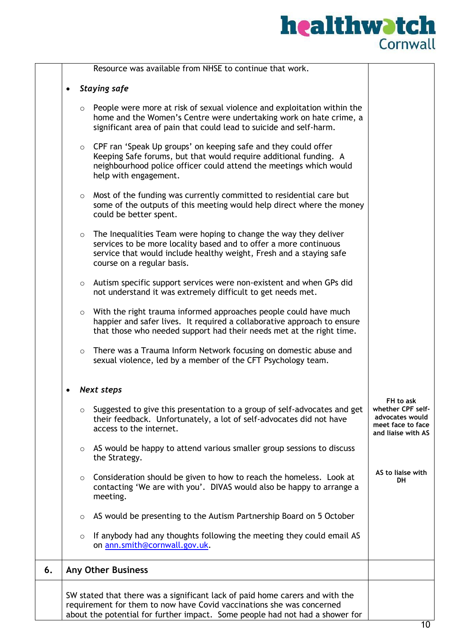|    |         | Resource was available from NHSE to continue that work.                                                                                                                                                                                    |                                                                                              |
|----|---------|--------------------------------------------------------------------------------------------------------------------------------------------------------------------------------------------------------------------------------------------|----------------------------------------------------------------------------------------------|
|    |         | <b>Staying safe</b>                                                                                                                                                                                                                        |                                                                                              |
|    | $\circ$ | People were more at risk of sexual violence and exploitation within the<br>home and the Women's Centre were undertaking work on hate crime, a<br>significant area of pain that could lead to suicide and self-harm.                        |                                                                                              |
|    | $\circ$ | CPF ran 'Speak Up groups' on keeping safe and they could offer<br>Keeping Safe forums, but that would require additional funding. A<br>neighbourhood police officer could attend the meetings which would<br>help with engagement.         |                                                                                              |
|    |         | o Most of the funding was currently committed to residential care but<br>some of the outputs of this meeting would help direct where the money<br>could be better spent.                                                                   |                                                                                              |
|    | $\circ$ | The Inequalities Team were hoping to change the way they deliver<br>services to be more locality based and to offer a more continuous<br>service that would include healthy weight, Fresh and a staying safe<br>course on a regular basis. |                                                                                              |
|    |         | $\circ$ Autism specific support services were non-existent and when GPs did<br>not understand it was extremely difficult to get needs met.                                                                                                 |                                                                                              |
|    | $\circ$ | With the right trauma informed approaches people could have much<br>happier and safer lives. It required a collaborative approach to ensure<br>that those who needed support had their needs met at the right time.                        |                                                                                              |
|    | $\circ$ | There was a Trauma Inform Network focusing on domestic abuse and<br>sexual violence, led by a member of the CFT Psychology team.                                                                                                           |                                                                                              |
|    |         | <b>Next steps</b>                                                                                                                                                                                                                          |                                                                                              |
|    | $\circ$ | Suggested to give this presentation to a group of self-advocates and get<br>their feedback. Unfortunately, a lot of self-advocates did not have<br>access to the internet.                                                                 | FH to ask<br>whether CPF self-<br>advocates would<br>meet face to face<br>and liaise with AS |
|    | $\circ$ | AS would be happy to attend various smaller group sessions to discuss<br>the Strategy.                                                                                                                                                     |                                                                                              |
|    | $\circ$ | Consideration should be given to how to reach the homeless. Look at<br>contacting 'We are with you'. DIVAS would also be happy to arrange a<br>meeting.                                                                                    | AS to liaise with<br><b>DH</b>                                                               |
|    | $\circ$ | AS would be presenting to the Autism Partnership Board on 5 October                                                                                                                                                                        |                                                                                              |
|    | $\circ$ | If anybody had any thoughts following the meeting they could email AS<br>on ann.smith@cornwall.gov.uk.                                                                                                                                     |                                                                                              |
| 6. |         | <b>Any Other Business</b>                                                                                                                                                                                                                  |                                                                                              |
|    |         | SW stated that there was a significant lack of paid home carers and with the<br>requirement for them to now have Covid vaccinations she was concerned<br>about the potential for further impact. Some people had not had a shower for      |                                                                                              |